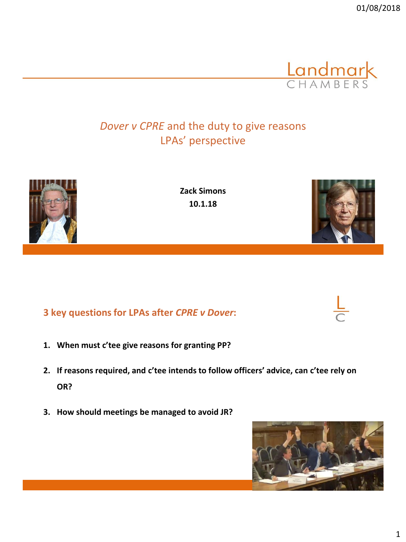*Dover v CPRE* and the duty to give reasons LPAs' perspective





**Zack Simons 10.1.18**

# **3 key questions for LPAs after** *CPRE v Dover***:**

- **1. When must c'tee give reasons for granting PP?**
- **2. If reasons required, and c'tee intends to follow officers' advice, can c'tee rely on OR?**
- **3. How should meetings be managed to avoid JR?**





**Landmark** 

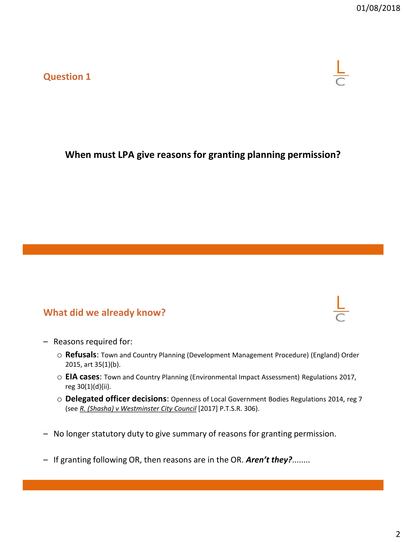#### **Question 1**

## **When must LPA give reasons for granting planning permission?**

#### **What did we already know?**

- Reasons required for:
	- o **Refusals**: Town and Country Planning (Development Management Procedure) (England) Order 2015, art 35(1)(b).
	- o **EIA cases**: Town and Country Planning (Environmental Impact Assessment) Regulations 2017, reg 30(1)(d)(ii).
	- o **Delegated officer decisions**: Openness of Local Government Bodies Regulations 2014, reg 7 (see *R. (Shasha) v Westminster City Council* [2017] P.T.S.R. 306).
- No longer statutory duty to give summary of reasons for granting permission.
- If granting following OR, then reasons are in the OR. *Aren't they?*........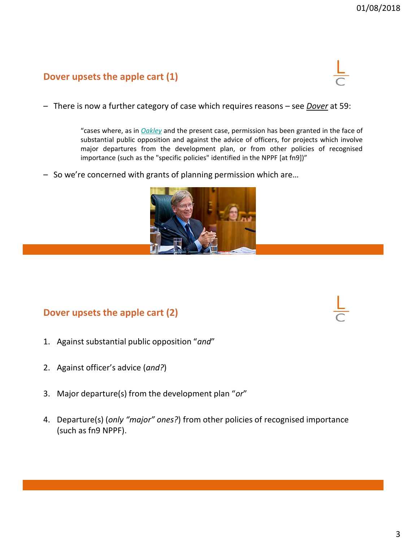#### **Dover upsets the apple cart (1)**



– There is now a further category of case which requires reasons – see *Dover* at 59:

"cases where, as in *[Oakley](https://login.westlaw.co.uk/maf/wluk/app/document?src=doc&linktype=ref&context=225&crumb-action=replace&docguid=I6C81F8D0F37111E6A692A27F6CA17C30)* and the present case, permission has been granted in the face of substantial public opposition and against the advice of officers, for projects which involve major departures from the development plan, or from other policies of recognised importance (such as the "specific policies" identified in the NPPF [at fn9])"

– So we're concerned with grants of planning permission which are…



#### **Dover upsets the apple cart (2)**

- 1. Against substantial public opposition "*and*"
- 2. Against officer's advice (*and?*)
- 3. Major departure(s) from the development plan "*or*"
- 4. Departure(s) (*only "major" ones?*) from other policies of recognised importance (such as fn9 NPPF).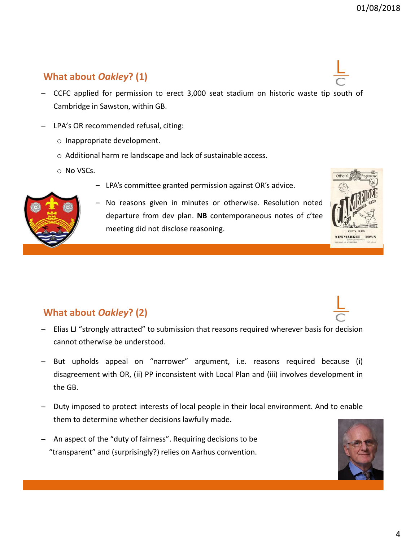## **What about** *Oakley***? (1)**

- ̶ CCFC applied for permission to erect 3,000 seat stadium on historic waste tip south of Cambridge in Sawston, within GB.
- ̶ LPA's OR recommended refusal, citing:
	- o Inappropriate development.
	- o Additional harm re landscape and lack of sustainable access.
	- o No VSCs.
		- ‒ LPA's committee granted permission against OR's advice.



‒ No reasons given in minutes or otherwise. Resolution noted departure from dev plan. **NB** contemporaneous notes of c'tee meeting did not disclose reasoning.



## **What about** *Oakley***? (2)**

- ̶ Elias LJ "strongly attracted" to submission that reasons required wherever basis for decision cannot otherwise be understood.
- ̶ But upholds appeal on "narrower" argument, i.e. reasons required because (i) disagreement with OR, (ii) PP inconsistent with Local Plan and (iii) involves development in the GB.
- ̶ Duty imposed to protect interests of local people in their local environment. And to enable them to determine whether decisions lawfully made.
- ̶ An aspect of the "duty of fairness". Requiring decisions to be "transparent" and (surprisingly?) relies on Aarhus convention.

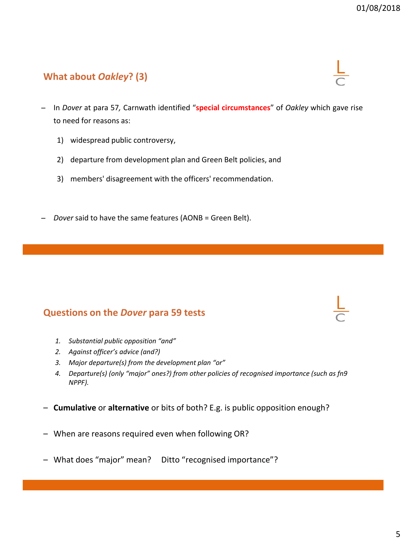## **What about** *Oakley***? (3)**

- ̶ In *Dover* at para 57*,* Carnwath identified "**special circumstances**" of *Oakley* which gave rise to need for reasons as:
	- 1) widespread public controversy,
	- 2) departure from development plan and Green Belt policies, and
	- 3) members' disagreement with the officers' recommendation.
- ̶ *Dover* said to have the same features (AONB = Green Belt).

#### **Questions on the** *Dover* **para 59 tests**

- *1. Substantial public opposition "and"*
- *2. Against officer's advice (and?)*
- *3. Major departure(s) from the development plan "or"*
- *4. Departure(s) (only "major" ones?) from other policies of recognised importance (such as fn9 NPPF).*
- **Cumulative** or **alternative** or bits of both? E.g. is public opposition enough?
- When are reasons required even when following OR?
- What does "major" mean? Ditto "recognised importance"?



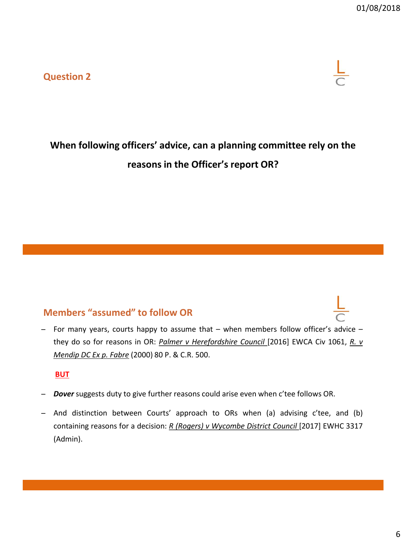**Question 2**



# **When following officers' advice, can a planning committee rely on the reasons in the Officer's report OR?**

#### **Members "assumed" to follow OR**

̶ For many years, courts happy to assume that – when members follow officer's advice – they do so for reasons in OR: *Palmer v Herefordshire Council* [2016] EWCA Civ 1061, *R. v Mendip DC Ex p. Fabre* (2000) 80 P. & C.R. 500.

#### **BUT**

- ̶ *Dover* suggests duty to give further reasons could arise even when c'tee follows OR.
- ̶ And distinction between Courts' approach to ORs when (a) advising c'tee, and (b) containing reasons for a decision: *R (Rogers) v Wycombe District Council* [2017] EWHC 3317 (Admin).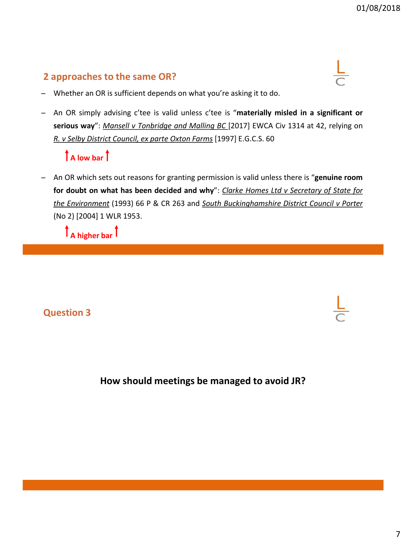## **2 approaches to the same OR?**



- Whether an OR is sufficient depends on what you're asking it to do.
- ̶ An OR simply advising c'tee is valid unless c'tee is "**materially misled in a significant or serious way**": *Mansell v Tonbridge and Malling BC* [2017] EWCA Civ 1314 at 42, relying on *R. v Selby District Council, ex parte Oxton Farms* [1997] E.G.C.S. 60

## **A low bar**

̶ An OR which sets out reasons for granting permission is valid unless there is "**genuine room for doubt on what has been decided and why**": *Clarke Homes Ltd v Secretary of State for the Environment* (1993) 66 P & CR 263 and *South Buckinghamshire District Council v Porter* (No 2) [2004] 1 WLR 1953.

**A higher bar**

## **Question 3**

### **How should meetings be managed to avoid JR?**